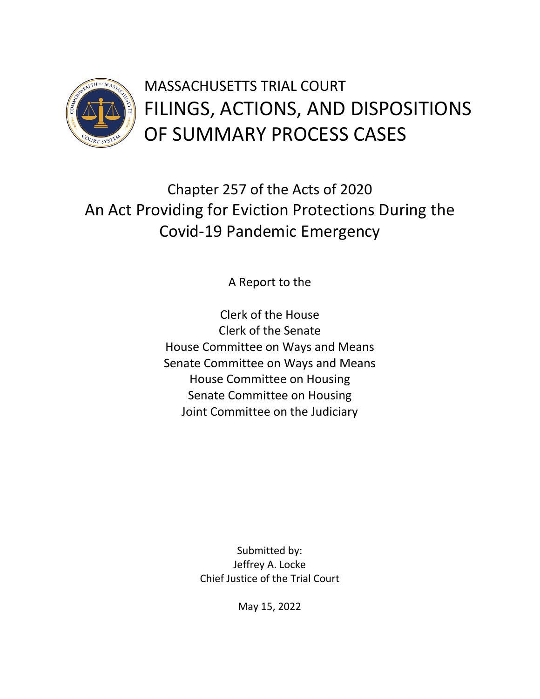

Chapter 257 of the Acts of 2020 An Act Providing for Eviction Protections During the Covid-19 Pandemic Emergency

A Report to the

Clerk of the House Clerk of the Senate House Committee on Ways and Means Senate Committee on Ways and Means House Committee on Housing Senate Committee on Housing Joint Committee on the Judiciary

> Submitted by: Jeffrey A. Locke Chief Justice of the Trial Court

> > May 15, 2022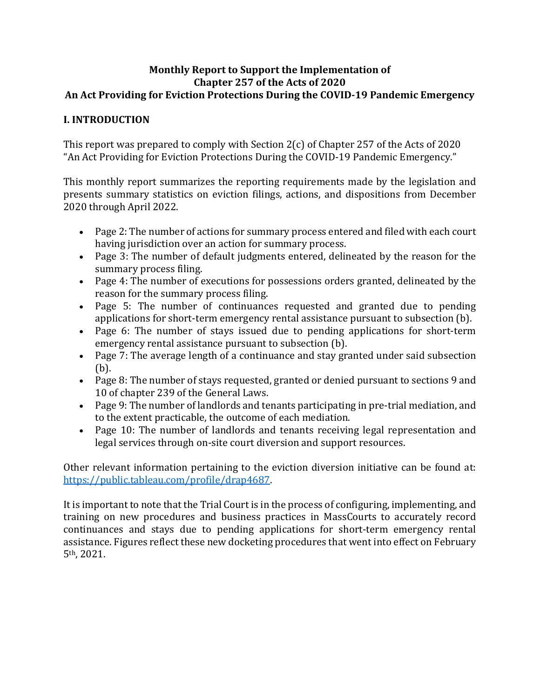#### **Monthly Report to Support the Implementation of Chapter 257 of the Acts of 2020 An Act Providing for Eviction Protections During the COVID-19 Pandemic Emergency**

#### **I. INTRODUCTION**

This report was prepared to comply with Section 2(c) of Chapter 257 of the Acts of 2020 "An Act Providing for Eviction Protections During the COVID-19 Pandemic Emergency."

This monthly report summarizes the reporting requirements made by the legislation and presents summary statistics on eviction filings, actions, and dispositions from December 2020 through April 2022.

- Page 2: The number of actions for summary process entered and filed with each court having jurisdiction over an action for summary process.
- Page 3: The number of default judgments entered, delineated by the reason for the summary process filing.
- Page 4: The number of executions for possessions orders granted, delineated by the reason for the summary process filing.
- Page 5: The number of continuances requested and granted due to pending applications for short-term emergency rental assistance pursuant to subsection (b).
- Page 6: The number of stays issued due to pending applications for short-term emergency rental assistance pursuant to subsection (b).
- Page 7: The average length of a continuance and stay granted under said subsection (b).
- Page 8: The number of stays requested, granted or denied pursuant to sections 9 and 10 of chapter 239 of the General Laws.
- Page 9: The number of landlords and tenants participating in pre-trial mediation, and to the extent practicable, the outcome of each mediation.
- Page 10: The number of landlords and tenants receiving legal representation and legal services through on-site court diversion and support resources.

Other relevant information pertaining to the eviction diversion initiative can be found at: [https://public.tableau.com/profile/drap4687.](https://public.tableau.com/profile/drap4687) 

It is important to note that the Trial Court is in the process of configuring, implementing, and training on new procedures and business practices in MassCourts to accurately record continuances and stays due to pending applications for short-term emergency rental assistance. Figures reflect these new docketing procedures that went into effect on February 5th, 2021.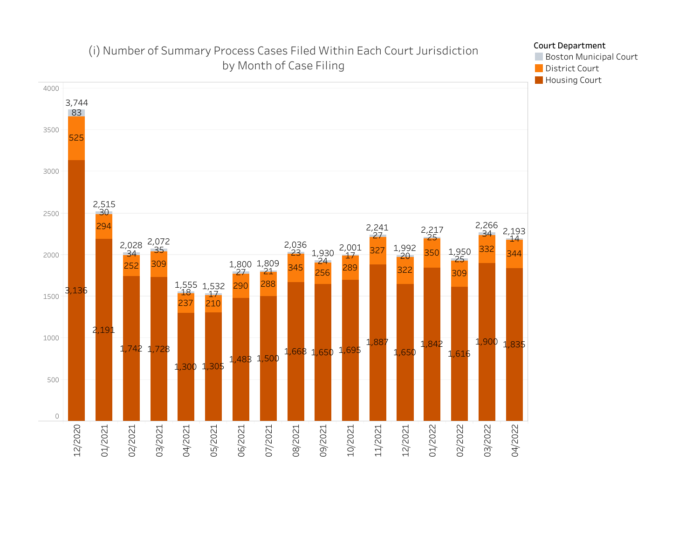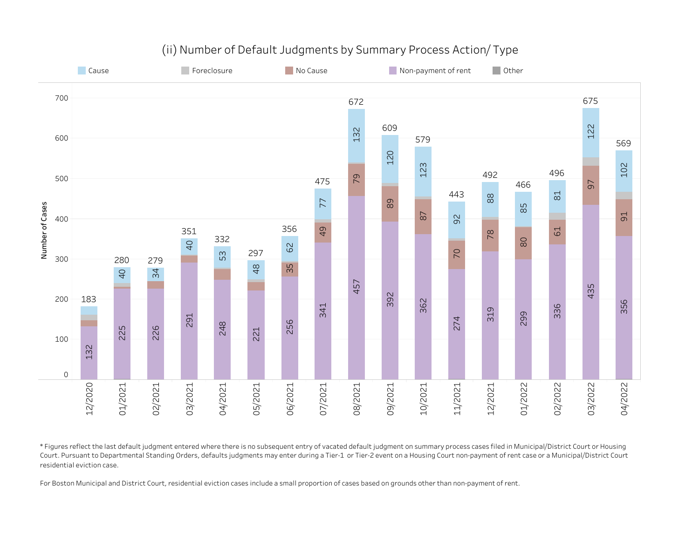

## (ii) Number of Default Judgments by Summary Process Action/Type

\*Figures reflect the last default judgment entered where there is no subsequent entry of vacated default judgment on summary process cases filed in Municipal/District Court or Housing Court. Pursuant to Departmental Standing Orders, defaults judgments may enter during a Tier-1 or Tier-2 event on a Housing Court non-payment of rent case or a Municipal/District Court residential eviction case.

For Boston Municipal and District Court, residential eviction cases include a small proportion of cases based on grounds other than non-payment of rent.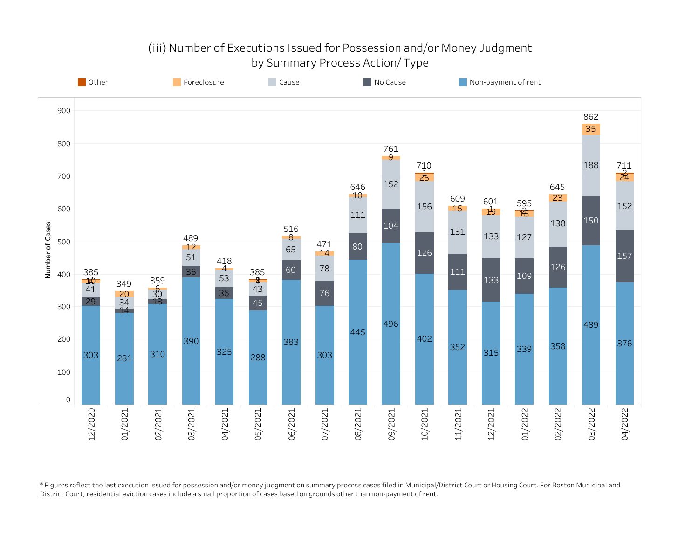# (iii) Number of Executions Issued for Possession and/or Money Judgment by Summary Process Action/ Type



\*Figures reflect the last execution issued for possession and/or money judgment on summary process cases filed in Municipal/District Court or Housing Court. For Boston Municipal and District Court, residential eviction cases include a small proportion of cases based on grounds other than non-payment of rent.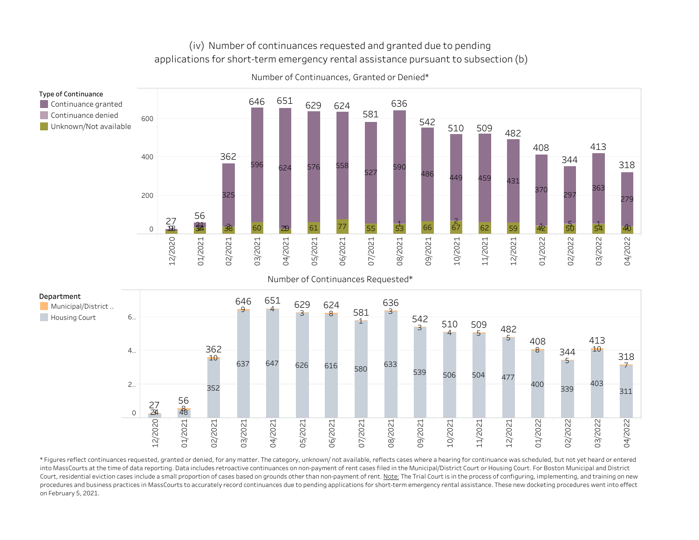### (iv) Number of continuances requested and granted due to pending applications for short-term emergency rental assistance pursuant to subsection (b)



Number of Continuances, Granted or Denied\*

Number of Continuances Requested\*



\*Figures reflect continuances requested, granted or denied, for any matter. The category, unknown/ not available, reflects cases where a hearing for continuance was scheduled, but not yet heard or entered into MassCourts at the time of data reporting. Data includes retroactive continuances on non-payment of rent cases filed in the Municipal/District Court or Housing Court. For Boston Municipal and District Court, residential eviction cases include a small proportion of cases based on grounds other than non-payment of rent. Note: The Trial Court is in the process of configuring, implementing, and training on new procedures and business practices in MassCourts to accurately record continuances due to pending applications for short-term emergency rental assistance. These new docketing procedures went into effect on February 5, 2021.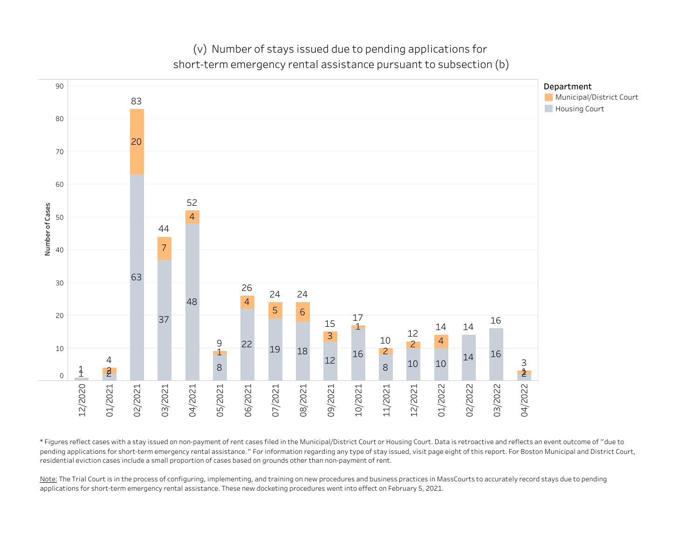(v) Number of stays issued due to pending applications for short-term emergency rental assistance pursuant to subsection (b)



\*Figuresreflectcaseswithastayissuedonnon-paymentofrentcasesfiledintheMunicipal/DistrictCourtorHousingCourt.Dataisretroactiveandreflectsaneventoutcomeof"dueto pending applications for short-term emergency rental assistance." For information regarding any type of stay issued, visit page eight of this report. For Boston Municipal and District Court, residential eviction cases include a small proportion of cases based on grounds other than non-payment of rent.

Note: The Trial Court is in the process of configuring, implementing, and training on new procedures and business practices in MassCourts to accurately record stays due to pending applications for short-term emergency rental assistance. These new docketing procedures went into effect on February 5, 2021.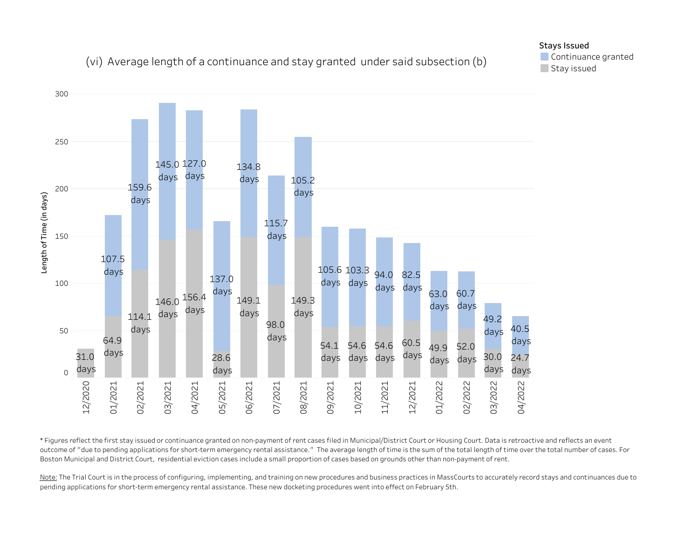# (vi) Average length of a continuance and stay granted under said subsection (b)



\*Figures reflect the first stay issued or continuance granted on non-payment of rent cases filed in Municipal/District Court or Housing Court. Data is retroactive and reflects an event outcome of "due to pending applications for short-term emergency rental assistance." The average length of time is the sum of the total length of time over the total number of cases. For Boston Municipal and District Court, residential eviction cases include a small proportion of cases based on grounds other than non-payment of rent.

Note: The Trial Court is in the process of configuring, implementing, and training on new procedures and business practices in MassCourts to accurately record stays and continuances due to pending applications for short-term emergency rental assistance. These new docketing procedures went into effect on February 5th.

### Stays Issued

Continuance granted Stay issued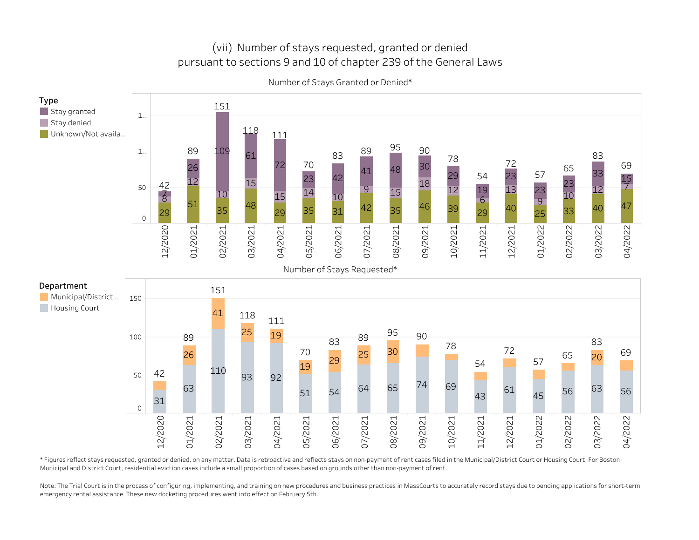## (vii) Number of stays requested, granted or denied pursuant to sections 9 and 10 of chapter 239 of the General Laws



Number of Stays Granted or Denied\*

\*Figures reflect stays requested, granted or denied, on any matter. Data is retroactive and reflects stays on non-payment of rent cases filed in the Municipal/District Court or Housing Court. For Boston Municipal and District Court, residential eviction cases include a small proportion of cases based on grounds other than non-payment of rent.

Note: The Trial Court is in the process of configuring, implementing, and training on new procedures and business practices in MassCourts to accurately record stays due to pending applications for short-term emergency rental assistance. These new docketing procedures went into effect on February 5th.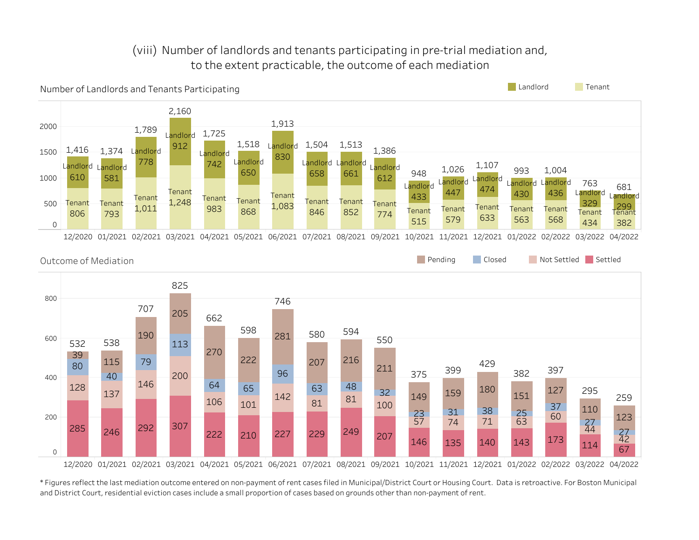# (viii) Number of landlords and tenants participating in pre-trial mediation and, to the extent practicable, the outcome of each mediation



\*Figures reflect the last mediation outcome entered on non-payment of rent cases filed in Municipal/District Court or Housing Court. Data is retroactive. For Boston Municipal and District Court, residential eviction cases include a small proportion of cases based on grounds other than non-payment of rent.